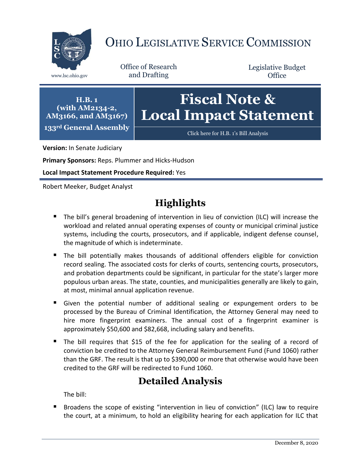

# OHIO LEGISLATIVE SERVICE COMMISSION

Office of Research www.lsc.ohio.gov and Drafting

Legislative Budget **Office** 

**H.B. 1 (with AM2134-2, AM3166, and AM3167) 133rd General Assembly**

# **Fiscal Note & Local Impact Statement**

[Click here for H.B. 1](https://www.legislature.ohio.gov/legislation/legislation-documents?id=GA133-HB-1)'s Bill Analysis

**Version:** In Senate Judiciary

**Primary Sponsors:** Reps. Plummer and Hicks-Hudson

**Local Impact Statement Procedure Required:** Yes

Robert Meeker, Budget Analyst

# **Highlights**

- The bill's general broadening of intervention in lieu of conviction (ILC) will increase the workload and related annual operating expenses of county or municipal criminal justice systems, including the courts, prosecutors, and if applicable, indigent defense counsel, the magnitude of which is indeterminate.
- The bill potentially makes thousands of additional offenders eligible for conviction record sealing. The associated costs for clerks of courts, sentencing courts, prosecutors, and probation departments could be significant, in particular for the state's larger more populous urban areas. The state, counties, and municipalities generally are likely to gain, at most, minimal annual application revenue.
- Given the potential number of additional sealing or expungement orders to be processed by the Bureau of Criminal Identification, the Attorney General may need to hire more fingerprint examiners. The annual cost of a fingerprint examiner is approximately \$50,600 and \$82,668, including salary and benefits.
- The bill requires that \$15 of the fee for application for the sealing of a record of conviction be credited to the Attorney General Reimbursement Fund (Fund 1060) rather than the GRF. The result is that up to \$390,000 or more that otherwise would have been credited to the GRF will be redirected to Fund 1060.

## **Detailed Analysis**

The bill:

 Broadens the scope of existing "intervention in lieu of conviction" (ILC) law to require the court, at a minimum, to hold an eligibility hearing for each application for ILC that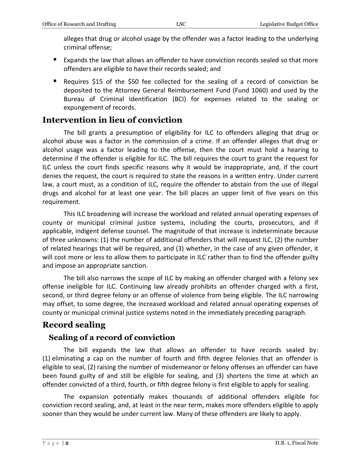alleges that drug or alcohol usage by the offender was a factor leading to the underlying criminal offense;

- **Expands the law that allows an offender to have conviction records sealed so that more** offenders are eligible to have their records sealed; and
- Requires \$15 of the \$50 fee collected for the sealing of a record of conviction be deposited to the Attorney General Reimbursement Fund (Fund 1060) and used by the Bureau of Criminal Identification (BCI) for expenses related to the sealing or expungement of records.

### **Intervention in lieu of conviction**

The bill grants a presumption of eligibility for ILC to offenders alleging that drug or alcohol abuse was a factor in the commission of a crime. If an offender alleges that drug or alcohol usage was a factor leading to the offense, then the court must hold a hearing to determine if the offender is eligible for ILC. The bill requires the court to grant the request for ILC unless the court finds specific reasons why it would be inappropriate, and, if the court denies the request, the court is required to state the reasons in a written entry. Under current law, a court must, as a condition of ILC, require the offender to abstain from the use of illegal drugs and alcohol for at least one year. The bill places an upper limit of five years on this requirement.

This ILC broadening will increase the workload and related annual operating expenses of county or municipal criminal justice systems, including the courts, prosecutors, and if applicable, indigent defense counsel. The magnitude of that increase is indeterminate because of three unknowns: (1) the number of additional offenders that will request ILC, (2) the number of related hearings that will be required, and (3) whether, in the case of any given offender, it will cost more or less to allow them to participate in ILC rather than to find the offender guilty and impose an appropriate sanction.

The bill also narrows the scope of ILC by making an offender charged with a felony sex offense ineligible for ILC. Continuing law already prohibits an offender charged with a first, second, or third degree felony or an offense of violence from being eligible. The ILC narrowing may offset, to some degree, the increased workload and related annual operating expenses of county or municipal criminal justice systems noted in the immediately preceding paragraph.

## **Record sealing**

### **Sealing of a record of conviction**

The bill expands the law that allows an offender to have records sealed by: (1) eliminating a cap on the number of fourth and fifth degree felonies that an offender is eligible to seal, (2) raising the number of misdemeanor or felony offenses an offender can have been found guilty of and still be eligible for sealing, and (3) shortens the time at which an offender convicted of a third, fourth, or fifth degree felony is first eligible to apply for sealing.

The expansion potentially makes thousands of additional offenders eligible for conviction record sealing, and, at least in the near term, makes more offenders eligible to apply sooner than they would be under current law. Many of these offenders are likely to apply.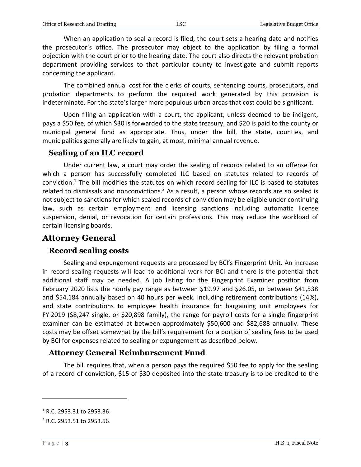When an application to seal a record is filed, the court sets a hearing date and notifies the prosecutor's office. The prosecutor may object to the application by filing a formal objection with the court prior to the hearing date. The court also directs the relevant probation department providing services to that particular county to investigate and submit reports concerning the applicant.

The combined annual cost for the clerks of courts, sentencing courts, prosecutors, and probation departments to perform the required work generated by this provision is indeterminate. For the state's larger more populous urban areas that cost could be significant.

Upon filing an application with a court, the applicant, unless deemed to be indigent, pays a \$50 fee, of which \$30 is forwarded to the state treasury, and \$20 is paid to the county or municipal general fund as appropriate. Thus, under the bill, the state, counties, and municipalities generally are likely to gain, at most, minimal annual revenue.

#### **Sealing of an ILC record**

Under current law, a court may order the sealing of records related to an offense for which a person has successfully completed ILC based on statutes related to records of conviction.<sup>1</sup> The bill modifies the statutes on which record sealing for ILC is based to statutes related to dismissals and nonconvictions.<sup>2</sup> As a result, a person whose records are so sealed is not subject to sanctions for which sealed records of conviction may be eligible under continuing law, such as certain employment and licensing sanctions including automatic license suspension, denial, or revocation for certain professions. This may reduce the workload of certain licensing boards.

### **Attorney General**

#### **Record sealing costs**

Sealing and expungement requests are processed by BCI's Fingerprint Unit. An increase in record sealing requests will lead to additional work for BCI and there is the potential that additional staff may be needed. A job listing for the Fingerprint Examiner position from February 2020 lists the hourly pay range as between \$19.97 and \$26.05, or between \$41,538 and \$54,184 annually based on 40 hours per week. Including retirement contributions (14%), and state contributions to employee health insurance for bargaining unit employees for FY 2019 (\$8,247 single, or \$20,898 family), the range for payroll costs for a single fingerprint examiner can be estimated at between approximately \$50,600 and \$82,688 annually. These costs may be offset somewhat by the bill's requirement for a portion of sealing fees to be used by BCI for expenses related to sealing or expungement as described below.

#### **Attorney General Reimbursement Fund**

The bill requires that, when a person pays the required \$50 fee to apply for the sealing of a record of conviction, \$15 of \$30 deposited into the state treasury is to be credited to the

 $\overline{a}$ 

 $1$  R.C. 2953.31 to 2953.36.

<sup>2</sup> R.C. 2953.51 to 2953.56.